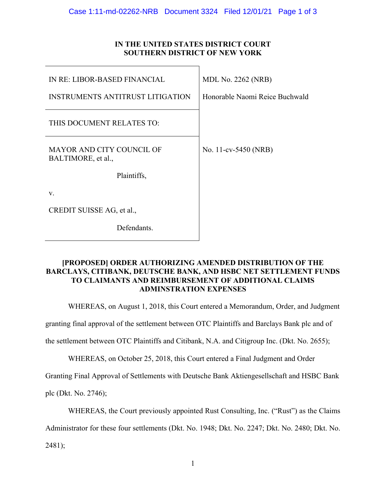## **IN THE UNITED STATES DISTRICT COURT SOUTHERN DISTRICT OF NEW YORK**

| IN RE: LIBOR-BASED FINANCIAL                           | <b>MDL No. 2262 (NRB)</b>      |
|--------------------------------------------------------|--------------------------------|
| <b>INSTRUMENTS ANTITRUST LITIGATION</b>                | Honorable Naomi Reice Buchwald |
| THIS DOCUMENT RELATES TO:                              |                                |
| <b>MAYOR AND CITY COUNCIL OF</b><br>BALTIMORE, et al., | No. 11-cv-5450 (NRB)           |
| Plaintiffs,                                            |                                |
| V.                                                     |                                |
| CREDIT SUISSE AG, et al.,                              |                                |
| Defendants.                                            |                                |

## **[PROPOSED] ORDER AUTHORIZING AMENDED DISTRIBUTION OF THE BARCLAYS, CITIBANK, DEUTSCHE BANK, AND HSBC NET SETTLEMENT FUNDS TO CLAIMANTS AND REIMBURSEMENT OF ADDITIONAL CLAIMS ADMINSTRATION EXPENSES**

WHEREAS, on August 1, 2018, this Court entered a Memorandum, Order, and Judgment

granting final approval of the settlement between OTC Plaintiffs and Barclays Bank plc and of

the settlement between OTC Plaintiffs and Citibank, N.A. and Citigroup Inc. (Dkt. No. 2655);

WHEREAS, on October 25, 2018, this Court entered a Final Judgment and Order

Granting Final Approval of Settlements with Deutsche Bank Aktiengesellschaft and HSBC Bank

plc (Dkt. No. 2746);

WHEREAS, the Court previously appointed Rust Consulting, Inc. ("Rust") as the Claims

Administrator for these four settlements (Dkt. No. 1948; Dkt. No. 2247; Dkt. No. 2480; Dkt. No.

2481);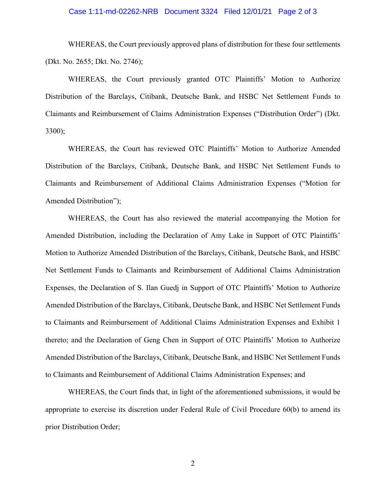## Case 1:11-md-02262-NRB Document 3324 Filed 12/01/21 Page 2 of 3

WHEREAS, the Court previously approved plans of distribution for these four settlements (Dkt. No. 2655; Dkt. No. 2746);

WHEREAS, the Court previously granted OTC Plaintiffs' Motion to Authorize Distribution of the Barclays, Citibank, Deutsche Bank, and HSBC Net Settlement Funds to Claimants and Reimbursement of Claims Administration Expenses ("Distribution Order") (Dkt. 3300);

WHEREAS, the Court has reviewed OTC Plaintiffs' Motion to Authorize Amended Distribution of the Barclays, Citibank, Deutsche Bank, and HSBC Net Settlement Funds to Claimants and Reimbursement of Additional Claims Administration Expenses ("Motion for Amended Distribution");

WHEREAS, the Court has also reviewed the material accompanying the Motion for Amended Distribution, including the Declaration of Amy Lake in Support of OTC Plaintiffs' Motion to Authorize Amended Distribution of the Barclays, Citibank, Deutsche Bank, and HSBC Net Settlement Funds to Claimants and Reimbursement of Additional Claims Administration Expenses, the Declaration of S. Ilan Guedj in Support of OTC Plaintiffs' Motion to Authorize Amended Distribution of the Barclays, Citibank, Deutsche Bank, and HSBC Net Settlement Funds to Claimants and Reimbursement of Additional Claims Administration Expenses and Exhibit 1 thereto; and the Declaration of Geng Chen in Support of OTC Plaintiffs' Motion to Authorize Amended Distribution of the Barclays, Citibank, Deutsche Bank, and HSBC Net Settlement Funds to Claimants and Reimbursement of Additional Claims Administration Expenses; and

WHEREAS, the Court finds that, in light of the aforementioned submissions, it would be appropriate to exercise its discretion under Federal Rule of Civil Procedure 60(b) to amend its prior Distribution Order;